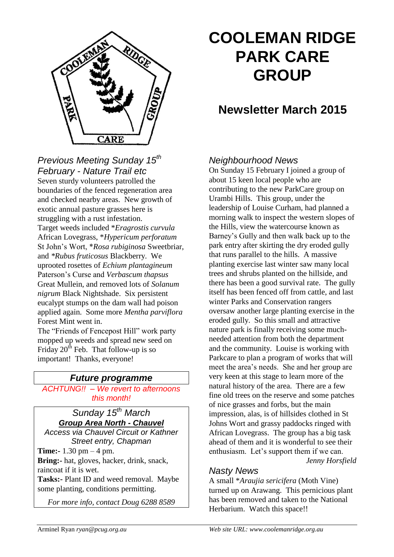

# *Previous Meeting Sunday 15th February - Nature Trail etc*

Seven sturdy volunteers patrolled the boundaries of the fenced regeneration area and checked nearby areas. New growth of exotic annual pasture grasses here is struggling with a rust infestation. Target weeds included \**Eragrostis curvula*  African Lovegrass, \**Hypericum perforatum* St John's Wort, \**Rosa rubiginosa* Sweetbriar, and *\*Rubus fruticosus* Blackberry. We uprooted rosettes of *Echium plantagineum*  Paterson's Curse and *Verbascum thapsus*  Great Mullein, and removed lots of *Solanum nigrum* Black Nightshade. Six persistent eucalypt stumps on the dam wall had poison applied again. Some more *Mentha parviflora*  Forest Mint went in.

The "Friends of Fencepost Hill" work party mopped up weeds and spread new seed on Friday  $20^{th}$  Feb. That follow-up is so important! Thanks, everyone!

#### *Future programme*

*ACHTUNG!! – We revert to afternoons this month!*

# *Sunday 15th March Group Area North - Chauvel*

*Access via Chauvel Circuit or Kathner Street entry, Chapman*

**Time:-** 1.30 pm – 4 pm. **Bring:-** hat, gloves, hacker, drink, snack, raincoat if it is wet.

**Tasks:-** Plant ID and weed removal. Maybe some planting, conditions permitting.

*For more info, contact Doug 6288 8589*

# **COOLEMAN RIDGE PARK CARE GROUP**

# **Newsletter March 2015**

### *Neighbourhood News*

On Sunday 15 February I joined a group of about 15 keen local people who are contributing to the new ParkCare group on Urambi Hills. This group, under the leadership of Louise Curham, had planned a morning walk to inspect the western slopes of the Hills, view the watercourse known as Barney's Gully and then walk back up to the park entry after skirting the dry eroded gully that runs parallel to the hills. A massive planting exercise last winter saw many local trees and shrubs planted on the hillside, and there has been a good survival rate. The gully itself has been fenced off from cattle, and last winter Parks and Conservation rangers oversaw another large planting exercise in the eroded gully. So this small and attractive nature park is finally receiving some muchneeded attention from both the department and the community. Louise is working with Parkcare to plan a program of works that will meet the area's needs. She and her group are very keen at this stage to learn more of the natural history of the area. There are a few fine old trees on the reserve and some patches of nice grasses and forbs, but the main impression, alas, is of hillsides clothed in St Johns Wort and grassy paddocks ringed with African Lovegrass. The group has a big task ahead of them and it is wonderful to see their enthusiasm. Let's support them if we can. *Jenny Horsfield*

#### *Nasty News*

A small \**Araujia sericifera* (Moth Vine) turned up on Arawang. This pernicious plant has been removed and taken to the National Herbarium. Watch this space!!